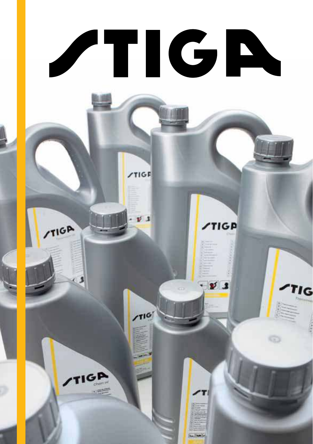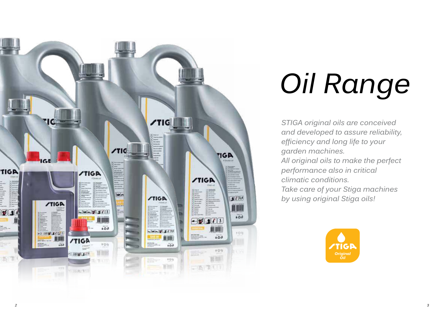

# *Oil Range*

*STIGA original oils are conceived and developed to assure reliability, efficiency and long life to your garden machines. All original oils to make the perfect performance also in critical climatic conditions. Take care of your Stiga machines by using original Stiga oils!*

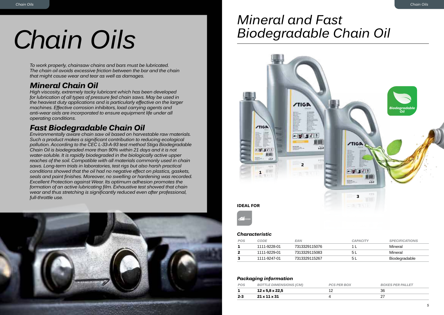## *Chain Oils*

*To work properly, chainsaw chains and bars must be lubricated. The chain oil avoids excessive friction between the bar and the chain that might cause wear and tear as well as damages.*

### *Mineral Chain Oil*

*High viscosity, extremely tacky lubricant which has been developed for lubrication of all types of pressure fed chain saws. May be used in the heaviest duty applications and is particularly effective on the larger machines. Effective corrosion inhibitors, load carrying agents and anti-wear aids are incorporated to ensure equipment life under all operating conditions.*

### *Fast Biodegradable Chain Oil*

*Environmentally aware chain saw oil based on harvestable raw materials. Such a product makes a significant contribution to reducing ecological pollution. According to the CEC L-33-A-93 test method Stiga Biodegradable Chain Oil is biodegraded more than 90% within 21 days and it is not water-soluble. It is rapidly biodegraded in the biologically active upper reaches of the soil. Compatible with all materials commonly used in chain saws. Long-term trials in laboratories, test rigs but also harsh practical conditions showed that the oil had no negative effect on plastics, gaskets, seals and paint finishes. Moreover, no swelling or hardening was recorded. Excellent Protection against Wear. Its optimum adhesion promotes the formation of an active lubricating film. Exhaustive test showed that chain wear and thus stretching is significantly reduced even after professional, full-throttle use.* **3**



### *Mineral and Fast Biodegradable Chain Oil*



### *Characteristic*

| POS | CODE         | <b>EAN</b>    | <b>CAPACITY</b> | <b>SPECIFICATIONS</b> |
|-----|--------------|---------------|-----------------|-----------------------|
|     | 1111-9228-01 | 7313329115076 |                 | Mineral               |
|     | 1111-9229-01 | 7313329115083 | 5 L             | Mineral               |
|     | 1111-9247-01 | 7313329115267 | 5 L             | Biodegradable         |

| POS | <b>BOTTLE DIMENSIONS (CM)</b> | <b>PCS PER BOX</b> | <b>BOXES PER PALLET</b> |
|-----|-------------------------------|--------------------|-------------------------|
|     | 12 x 5,8 x 22,5               |                    | 36                      |
| 2-3 | $21 \times 11 \times 31$      |                    |                         |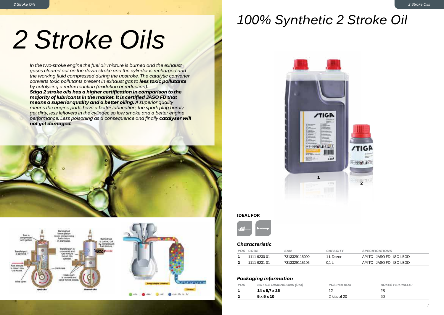### *100% Synthetic 2 Stroke Oil*

## *2 Stroke Oils*

*2 Stroke Oils*

*In the two-stroke engine the fuel air mixture is burned and the exhaust gases cleared out on the down stroke and the cylinder is recharged and the working fluid compressed during the upstroke. The catalytic converter converts toxic pollutants present in exhaust gas to less toxic pollutants by catalyzing a redox reaction (oxidation or reduction).*

*Stiga 2 stroke oils has a higher certification in comparison to the majority of lubricants in the market. It is certified JASO FD that means a superior quality and a better oiling. A superior quality means the engine parts have a better lubrication, the spark plug hardly get dirty, less leftovers in the cylinder, so low smoke and a better engine performance. Less poisoning as a consequence and finally catalyser will not get damaged.*







### **IDEAL FOR**



#### *Characteristic*

| POS CODE     | EAN           | <b>CAPACITY</b> | <b>SPECIFICATIONS</b>       |
|--------------|---------------|-----------------|-----------------------------|
| 1111-9230-01 | 7313329115090 | 1 L Dozer       | API TC - JASO FD - ISO-LEGD |
| 1111-9231-01 | 7313329115106 |                 | API TC - JASO FD - ISO-LEGD |

| POS | <b>BOTTLE DIMENSIONS (CM)</b> | <b>PCS PER BOX</b> | <b>BOXES PER PALLET</b> |
|-----|-------------------------------|--------------------|-------------------------|
|     | $14 \times 5.7 \times 25$     |                    | 28                      |
|     | 5x5x10                        | 2 kits of 20       | 60                      |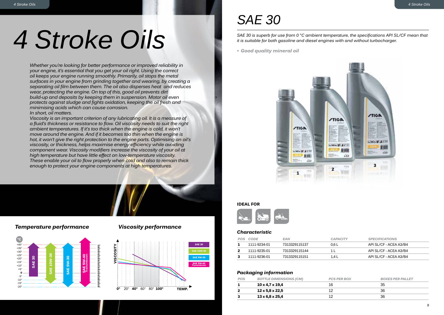## *4 Stroke Oils*

*Whether you're looking for better performance or improved reliability in your engine, it's essential that you get your oil right. Using the correct oil keeps your engine running smoothly. Primarily, oil stops the metal surfaces in your engine from grinding together and wearing, by creating a separating oil film between them. The oil also disperses heat and reduces wear, protecting the engine. On top of this, good oil prevents dirt build-up and deposits by keeping them in suspension. Motor oil even protects against sludge and fights oxidation, keeping the oil fresh and minimising acids which can cause corrosion.* 

### *In short, oil matters.*

*Viscosity is an important criterion of any lubricating oil. It is a measure of a fluid's thickness or resistance to flow. Oil viscosity needs to suit the right ambient temperatures. If it's too thick when the engine is cold, it won't move around the engine. And if it becomes too thin when the engine is hot, it won't give the right protection to the engine parts. Optimising an oil's viscosity, or thickness, helps maximise energy efficiency while avoiding component wear. Viscosity modifiers increase the viscosity of your oil at high temperature but have little effect on low-temperature viscosity. These enable your oil to flow properly when cold and also to remain thick enough to protect your engine components at high temperatures.*

### *Temperature performance Viscosity performance*





### *SAE 30*

*SAE 30 is superb for use from 0 °C ambient temperature, the specifications API SL/CF mean that it is suitable for both gasoline and diesel engines with and without turbocharger.*

*• Good quality mineral oil*



#### **IDEAL FOR**



### *Characteristic*

| POS | CODE         | <b>EAN</b>    | <b>CAPACITY</b> | <b>SPECIFICATIONS</b>  |
|-----|--------------|---------------|-----------------|------------------------|
|     | 1111-9234-01 | 7313329115137 | 0.6 L           | API SL/CF - ACEA A3/B4 |
|     | 1111-9235-01 | 7313329115144 |                 | APLSL/CE - ACEA A3/B4  |
|     | 1111-9236-01 | 7313329115151 | 1.4 L           | API SL/CF - ACEA A3/B4 |

| POS | <b>BOTTLE DIMENSIONS (CM)</b> | <b>PCS PER BOX</b> | <b>BOXES PER PALLET</b> |
|-----|-------------------------------|--------------------|-------------------------|
|     | 10 x 4,7 x 19,4               | 16                 | 35                      |
|     | 12 x 5,8 x 22,5               |                    | 36                      |
|     | $13 \times 6.8 \times 25.4$   |                    | 36                      |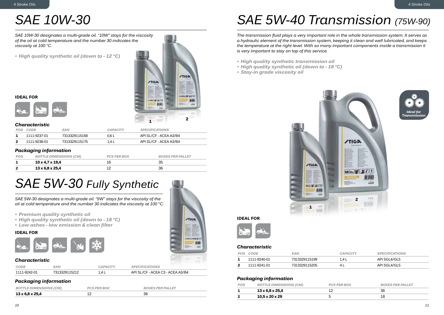### *SAE 10W-30*

*SAE 10W-30 designates a multi-grade oil. "10W" stays for the viscosity of the oil at cold temperature and the number 30 indicates the viscosity at 100 °C.*

*• High quality synthetic oil (down to - 12 °C)*





### *Characteristic*

| POS CODE     | EAN           | <b>CAPACITY</b> | <b>SPECIFICATIONS</b>  |
|--------------|---------------|-----------------|------------------------|
| 1111-9237-01 | 7313329115168 | 0.6 L           | API SL/CF - ACEA A3/B4 |
| 1111-9238-01 | 7313329115175 | 1.4 L           | API SL/CF - ACEA A3/B4 |
|              |               |                 |                        |

### *Packaging information*

| POS | <b>BOTTLE DIMENSIONS (CM)</b> | <b>PCS PER BOX</b> | <b>BOXES PER PALLET</b> |
|-----|-------------------------------|--------------------|-------------------------|
|     | 10 x 4,7 x 19,4               |                    |                         |
|     | 13 x 6,8 x 25,4               |                    | 36                      |

### *SAE 5W-30 Fully Synthetic*

*SAE 5W-30 designates a multi-grade oil. "5W" stays for the viscosity of the oil at cold temperature and the number 30 indicates the viscosity at 100 °C.*

- *• Premium quality synthetic oil*
- *• High quality synthetic oil (down to - 18 °C)*
- *• Low ashes - low emission & clean filter*

### **IDEAL FOR**



### *Characteristic*

| CODE         | <b>EAN</b>    | CAPACITY | <b>SPECIFICATIONS</b>            |
|--------------|---------------|----------|----------------------------------|
| 1111-9242-01 | 7313320115212 | I A I    | API SL/CF - ACEA C3 - ACEA A3/B4 |

### *Packaging information*

| 13 x 6,8 x 25,4               |                    | 36                      |
|-------------------------------|--------------------|-------------------------|
| <b>BOTTLE DIMENSIONS (CM)</b> | <b>PCS PER BOX</b> | <b>BOXES PER PALLET</b> |



**/TIGA** 

**CHACKER AT** 1,00

### *SAE 5W-40 Transmission (75W-90)*

*The transmission fluid plays a very important role in the whole transmission system. It serves as a hydraulic element of the transmission system, keeping it clean and well lubricated, and keeps the temperature at the right level. With so many important components inside a transmission it is very important to stay on top of this service.* 

- *• High quality synthetic transmission oil*
- *• High quality synthetic oil (down to - 18 °C)*
- *• Stay-in grade viscosity oil*







### *Characteristic*

| POS CODE     | EAN.          | CAPACITY | <b>SPECIFICATIONS</b> |
|--------------|---------------|----------|-----------------------|
| 1111-9240-01 | 7313329115199 | 1.4 L    | API SGL4/GL5          |
| 1111-9241-01 | 7313329115205 |          | API SGL4/GL5          |

| POS | <b>BOTTLE DIMENSIONS (CM)</b> | <b>PCS PER BOX</b> | <b>BOXES PER PALLET</b> |
|-----|-------------------------------|--------------------|-------------------------|
|     | $13 \times 6.8 \times 25.4$   |                    | 36                      |
|     | $10.5 \times 20 \times 29$    |                    | 18                      |